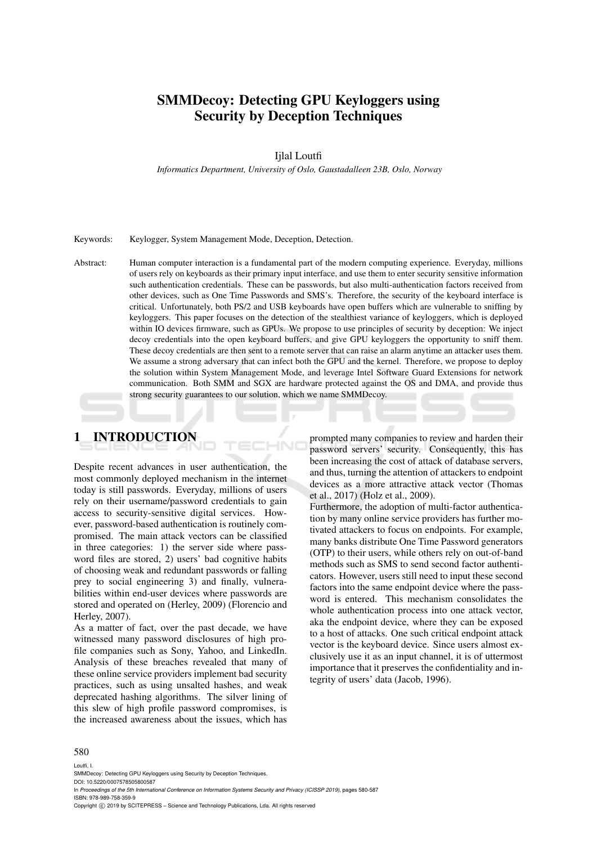# SMMDecoy: Detecting GPU Keyloggers using Security by Deception Techniques

#### Ijlal Loutfi

*Informatics Department, University of Oslo, Gaustadalleen 23B, Oslo, Norway*

#### Keywords: Keylogger, System Management Mode, Deception, Detection.

Abstract: Human computer interaction is a fundamental part of the modern computing experience. Everyday, millions of users rely on keyboards as their primary input interface, and use them to enter security sensitive information such authentication credentials. These can be passwords, but also multi-authentication factors received from other devices, such as One Time Passwords and SMS's. Therefore, the security of the keyboard interface is critical. Unfortunately, both PS/2 and USB keyboards have open buffers which are vulnerable to sniffing by keyloggers. This paper focuses on the detection of the stealthiest variance of keyloggers, which is deployed within IO devices firmware, such as GPUs. We propose to use principles of security by deception: We inject decoy credentials into the open keyboard buffers, and give GPU keyloggers the opportunity to sniff them. These decoy credentials are then sent to a remote server that can raise an alarm anytime an attacker uses them. We assume a strong adversary that can infect both the GPU and the kernel. Therefore, we propose to deploy the solution within System Management Mode, and leverage Intel Software Guard Extensions for network communication. Both SMM and SGX are hardware protected against the OS and DMA, and provide thus strong security guarantees to our solution, which we name SMMDecoy.

 $+$ NI

# 1 INTRODUCTION

Despite recent advances in user authentication, the most commonly deployed mechanism in the internet today is still passwords. Everyday, millions of users rely on their username/password credentials to gain access to security-sensitive digital services. However, password-based authentication is routinely compromised. The main attack vectors can be classified in three categories: 1) the server side where password files are stored, 2) users' bad cognitive habits of choosing weak and redundant passwords or falling prey to social engineering 3) and finally, vulnerabilities within end-user devices where passwords are stored and operated on (Herley, 2009) (Florencio and Herley, 2007).

As a matter of fact, over the past decade, we have witnessed many password disclosures of high profile companies such as Sony, Yahoo, and LinkedIn. Analysis of these breaches revealed that many of these online service providers implement bad security practices, such as using unsalted hashes, and weak deprecated hashing algorithms. The silver lining of this slew of high profile password compromises, is the increased awareness about the issues, which has

prompted many companies to review and harden their password servers' security. Consequently, this has been increasing the cost of attack of database servers, and thus, turning the attention of attackers to endpoint devices as a more attractive attack vector (Thomas et al., 2017) (Holz et al., 2009).

Furthermore, the adoption of multi-factor authentication by many online service providers has further motivated attackers to focus on endpoints. For example, many banks distribute One Time Password generators (OTP) to their users, while others rely on out-of-band methods such as SMS to send second factor authenticators. However, users still need to input these second factors into the same endpoint device where the password is entered. This mechanism consolidates the whole authentication process into one attack vector, aka the endpoint device, where they can be exposed to a host of attacks. One such critical endpoint attack vector is the keyboard device. Since users almost exclusively use it as an input channel, it is of uttermost importance that it preserves the confidentiality and integrity of users' data (Jacob, 1996).

#### 580

Loutfi, I.

SMMDecoy: Detecting GPU Keyloggers using Security by Deception Techniques.

DOI: 10.5220/0007578505800587

In *Proceedings of the 5th International Conference on Information Systems Security and Privacy (ICISSP 2019)*, pages 580-587 ISBN: 978-989-758-359-9

Copyright (C) 2019 by SCITEPRESS - Science and Technology Publications, Lda. All rights reserved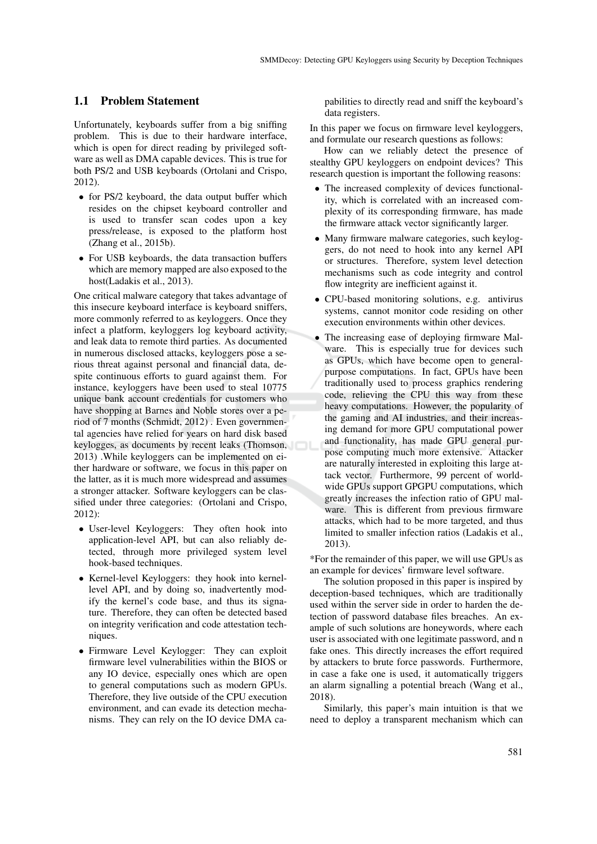#### 1.1 Problem Statement

Unfortunately, keyboards suffer from a big sniffing problem. This is due to their hardware interface, which is open for direct reading by privileged software as well as DMA capable devices. This is true for both PS/2 and USB keyboards (Ortolani and Crispo, 2012).

- for PS/2 keyboard, the data output buffer which resides on the chipset keyboard controller and is used to transfer scan codes upon a key press/release, is exposed to the platform host (Zhang et al., 2015b).
- For USB keyboards, the data transaction buffers which are memory mapped are also exposed to the host(Ladakis et al., 2013).

One critical malware category that takes advantage of this insecure keyboard interface is keyboard sniffers, more commonly referred to as keyloggers. Once they infect a platform, keyloggers log keyboard activity, and leak data to remote third parties. As documented in numerous disclosed attacks, keyloggers pose a serious threat against personal and financial data, despite continuous efforts to guard against them. For instance, keyloggers have been used to steal 10775 unique bank account credentials for customers who have shopping at Barnes and Noble stores over a period of 7 months (Schmidt, 2012) . Even governmental agencies have relied for years on hard disk based keylogges, as documents by recent leaks (Thomson, 2013) .While keyloggers can be implemented on either hardware or software, we focus in this paper on the latter, as it is much more widespread and assumes a stronger attacker. Software keyloggers can be classified under three categories: (Ortolani and Crispo, 2012):

- User-level Keyloggers: They often hook into application-level API, but can also reliably detected, through more privileged system level hook-based techniques.
- Kernel-level Keyloggers: they hook into kernellevel API, and by doing so, inadvertently modify the kernel's code base, and thus its signature. Therefore, they can often be detected based on integrity verification and code attestation techniques.
- Firmware Level Keylogger: They can exploit firmware level vulnerabilities within the BIOS or any IO device, especially ones which are open to general computations such as modern GPUs. Therefore, they live outside of the CPU execution environment, and can evade its detection mechanisms. They can rely on the IO device DMA ca-

pabilities to directly read and sniff the keyboard's data registers.

In this paper we focus on firmware level keyloggers, and formulate our research questions as follows:

How can we reliably detect the presence of stealthy GPU keyloggers on endpoint devices? This research question is important the following reasons:

- The increased complexity of devices functionality, which is correlated with an increased complexity of its corresponding firmware, has made the firmware attack vector significantly larger.
- Many firmware malware categories, such keyloggers, do not need to hook into any kernel API or structures. Therefore, system level detection mechanisms such as code integrity and control flow integrity are inefficient against it.
- CPU-based monitoring solutions, e.g. antivirus systems, cannot monitor code residing on other execution environments within other devices.
- The increasing ease of deploying firmware Malware. This is especially true for devices such as GPUs, which have become open to generalpurpose computations. In fact, GPUs have been traditionally used to process graphics rendering code, relieving the CPU this way from these heavy computations. However, the popularity of the gaming and AI industries, and their increasing demand for more GPU computational power and functionality, has made GPU general purpose computing much more extensive. Attacker are naturally interested in exploiting this large attack vector. Furthermore, 99 percent of worldwide GPUs support GPGPU computations, which greatly increases the infection ratio of GPU malware. This is different from previous firmware attacks, which had to be more targeted, and thus limited to smaller infection ratios (Ladakis et al., 2013).

\*For the remainder of this paper, we will use GPUs as an example for devices' firmware level software.

The solution proposed in this paper is inspired by deception-based techniques, which are traditionally used within the server side in order to harden the detection of password database files breaches. An example of such solutions are honeywords, where each user is associated with one legitimate password, and n fake ones. This directly increases the effort required by attackers to brute force passwords. Furthermore, in case a fake one is used, it automatically triggers an alarm signalling a potential breach (Wang et al., 2018).

Similarly, this paper's main intuition is that we need to deploy a transparent mechanism which can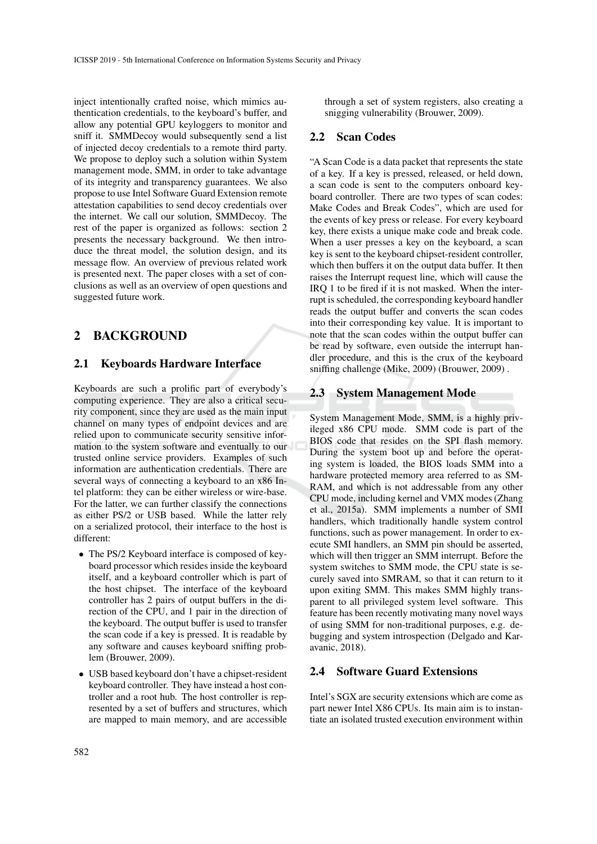inject intentionally crafted noise, which mimics authentication credentials, to the keyboard's buffer, and allow any potential GPU keyloggers to monitor and sniff it. SMMDecoy would subsequently send a list of injected decoy credentials to a remote third party. We propose to deploy such a solution within System management mode, SMM, in order to take advantage of its integrity and transparency guarantees. We also propose to use Intel Software Guard Extension remote attestation capabilities to send decoy credentials over the internet. We call our solution, SMMDecoy. The rest of the paper is organized as follows: section 2 presents the necessary background. We then introduce the threat model, the solution design, and its message flow. An overview of previous related work is presented next. The paper closes with a set of conclusions as well as an overview of open questions and suggested future work.

## 2 BACKGROUND

#### 2.1 Keyboards Hardware Interface

Keyboards are such a prolific part of everybody's computing experience. They are also a critical security component, since they are used as the main input channel on many types of endpoint devices and are relied upon to communicate security sensitive information to the system software and eventually to our trusted online service providers. Examples of such information are authentication credentials. There are several ways of connecting a keyboard to an x86 Intel platform: they can be either wireless or wire-base. For the latter, we can further classify the connections as either PS/2 or USB based. While the latter rely on a serialized protocol, their interface to the host is different:

- The PS/2 Keyboard interface is composed of keyboard processor which resides inside the keyboard itself, and a keyboard controller which is part of the host chipset. The interface of the keyboard controller has 2 pairs of output buffers in the direction of the CPU, and 1 pair in the direction of the keyboard. The output buffer is used to transfer the scan code if a key is pressed. It is readable by any software and causes keyboard sniffing problem (Brouwer, 2009).
- USB based keyboard don't have a chipset-resident keyboard controller. They have instead a host controller and a root hub. The host controller is represented by a set of buffers and structures, which are mapped to main memory, and are accessible

through a set of system registers, also creating a snigging vulnerability (Brouwer, 2009).

#### 2.2 Scan Codes

"A Scan Code is a data packet that represents the state of a key. If a key is pressed, released, or held down, a scan code is sent to the computers onboard keyboard controller. There are two types of scan codes: Make Codes and Break Codes", which are used for the events of key press or release. For every keyboard key, there exists a unique make code and break code. When a user presses a key on the keyboard, a scan key is sent to the keyboard chipset-resident controller, which then buffers it on the output data buffer. It then raises the Interrupt request line, which will cause the IRQ 1 to be fired if it is not masked. When the interrupt is scheduled, the corresponding keyboard handler reads the output buffer and converts the scan codes into their corresponding key value. It is important to note that the scan codes within the output buffer can be read by software, even outside the interrupt handler procedure, and this is the crux of the keyboard sniffing challenge (Mike, 2009) (Brouwer, 2009) .

### 2.3 System Management Mode

System Management Mode, SMM, is a highly privileged x86 CPU mode. SMM code is part of the BIOS code that resides on the SPI flash memory. During the system boot up and before the operating system is loaded, the BIOS loads SMM into a hardware protected memory area referred to as SM-RAM, and which is not addressable from any other CPU mode, including kernel and VMX modes (Zhang et al., 2015a). SMM implements a number of SMI handlers, which traditionally handle system control functions, such as power management. In order to execute SMI handlers, an SMM pin should be asserted, which will then trigger an SMM interrupt. Before the system switches to SMM mode, the CPU state is securely saved into SMRAM, so that it can return to it upon exiting SMM. This makes SMM highly transparent to all privileged system level software. This feature has been recently motivating many novel ways of using SMM for non-traditional purposes, e.g. debugging and system introspection (Delgado and Karavanic, 2018).

### 2.4 Software Guard Extensions

Intel's SGX are security extensions which are come as part newer Intel X86 CPUs. Its main aim is to instantiate an isolated trusted execution environment within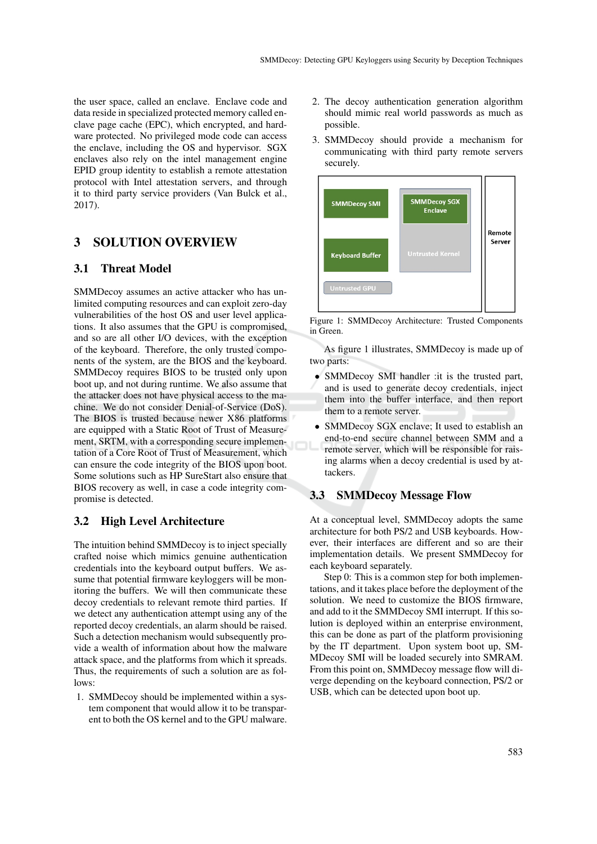the user space, called an enclave. Enclave code and data reside in specialized protected memory called enclave page cache (EPC), which encrypted, and hardware protected. No privileged mode code can access the enclave, including the OS and hypervisor. SGX enclaves also rely on the intel management engine EPID group identity to establish a remote attestation protocol with Intel attestation servers, and through it to third party service providers (Van Bulck et al., 2017).

## 3 SOLUTION OVERVIEW

### 3.1 Threat Model

SMMDecoy assumes an active attacker who has unlimited computing resources and can exploit zero-day vulnerabilities of the host OS and user level applications. It also assumes that the GPU is compromised, and so are all other I/O devices, with the exception of the keyboard. Therefore, the only trusted components of the system, are the BIOS and the keyboard. SMMDecoy requires BIOS to be trusted only upon boot up, and not during runtime. We also assume that the attacker does not have physical access to the machine. We do not consider Denial-of-Service (DoS). The BIOS is trusted because newer X86 platforms are equipped with a Static Root of Trust of Measurement, SRTM, with a corresponding secure implementation of a Core Root of Trust of Measurement, which can ensure the code integrity of the BIOS upon boot. Some solutions such as HP SureStart also ensure that BIOS recovery as well, in case a code integrity compromise is detected.

## 3.2 High Level Architecture

The intuition behind SMMDecoy is to inject specially crafted noise which mimics genuine authentication credentials into the keyboard output buffers. We assume that potential firmware keyloggers will be monitoring the buffers. We will then communicate these decoy credentials to relevant remote third parties. If we detect any authentication attempt using any of the reported decoy credentials, an alarm should be raised. Such a detection mechanism would subsequently provide a wealth of information about how the malware attack space, and the platforms from which it spreads. Thus, the requirements of such a solution are as follows:

1. SMMDecoy should be implemented within a system component that would allow it to be transparent to both the OS kernel and to the GPU malware.

- 2. The decoy authentication generation algorithm should mimic real world passwords as much as possible.
- 3. SMMDecoy should provide a mechanism for communicating with third party remote servers securely.



Figure 1: SMMDecoy Architecture: Trusted Components in Green.

As figure 1 illustrates, SMMDecoy is made up of two parts:

- SMMDecoy SMI handler :it is the trusted part, and is used to generate decoy credentials, inject them into the buffer interface, and then report them to a remote server.
- SMMDecoy SGX enclave; It used to establish an end-to-end secure channel between SMM and a remote server, which will be responsible for raising alarms when a decoy credential is used by attackers.

#### 3.3 SMMDecoy Message Flow

At a conceptual level, SMMDecoy adopts the same architecture for both PS/2 and USB keyboards. However, their interfaces are different and so are their implementation details. We present SMMDecoy for each keyboard separately.

Step 0: This is a common step for both implementations, and it takes place before the deployment of the solution. We need to customize the BIOS firmware, and add to it the SMMDecoy SMI interrupt. If this solution is deployed within an enterprise environment, this can be done as part of the platform provisioning by the IT department. Upon system boot up, SM-MDecoy SMI will be loaded securely into SMRAM. From this point on, SMMDecoy message flow will diverge depending on the keyboard connection, PS/2 or USB, which can be detected upon boot up.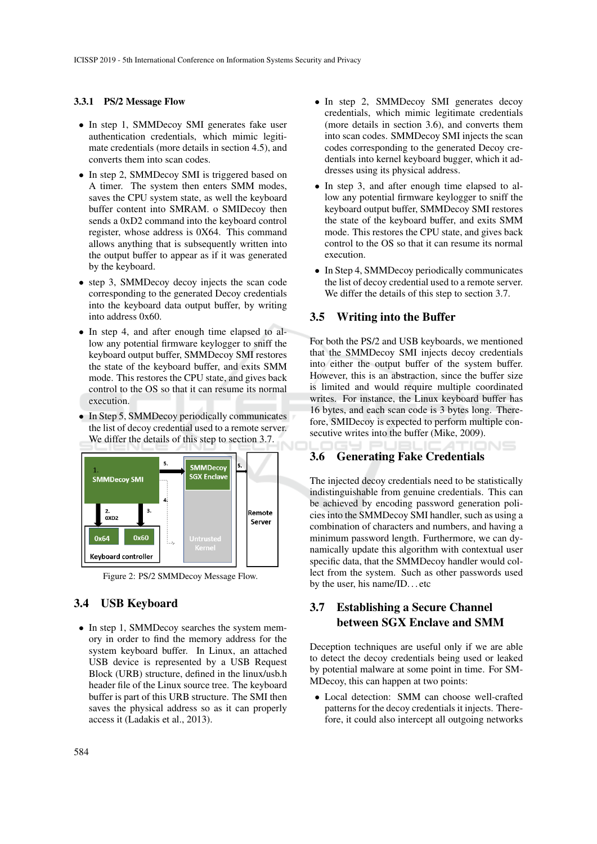#### 3.3.1 PS/2 Message Flow

- In step 1, SMMDecoy SMI generates fake user authentication credentials, which mimic legitimate credentials (more details in section 4.5), and converts them into scan codes.
- In step 2, SMMDecoy SMI is triggered based on A timer. The system then enters SMM modes, saves the CPU system state, as well the keyboard buffer content into SMRAM. o SMIDecoy then sends a 0xD2 command into the keyboard control register, whose address is 0X64. This command allows anything that is subsequently written into the output buffer to appear as if it was generated by the keyboard.
- step 3, SMMDecoy decoy injects the scan code corresponding to the generated Decoy credentials into the keyboard data output buffer, by writing into address 0x60.
- In step 4, and after enough time elapsed to allow any potential firmware keylogger to sniff the keyboard output buffer, SMMDecoy SMI restores the state of the keyboard buffer, and exits SMM mode. This restores the CPU state, and gives back control to the OS so that it can resume its normal execution.
- In Step 5, SMMDecoy periodically communicates the list of decoy credential used to a remote server. We differ the details of this step to section 3.7.



Figure 2: PS/2 SMMDecoy Message Flow.

#### 3.4 USB Keyboard

• In step 1, SMMDecoy searches the system memory in order to find the memory address for the system keyboard buffer. In Linux, an attached USB device is represented by a USB Request Block (URB) structure, defined in the linux/usb.h header file of the Linux source tree. The keyboard buffer is part of this URB structure. The SMI then saves the physical address so as it can properly access it (Ladakis et al., 2013).

- In step 2, SMMDecoy SMI generates decoy credentials, which mimic legitimate credentials (more details in section 3.6), and converts them into scan codes. SMMDecoy SMI injects the scan codes corresponding to the generated Decoy credentials into kernel keyboard bugger, which it addresses using its physical address.
- In step 3, and after enough time elapsed to allow any potential firmware keylogger to sniff the keyboard output buffer, SMMDecoy SMI restores the state of the keyboard buffer, and exits SMM mode. This restores the CPU state, and gives back control to the OS so that it can resume its normal execution.
- In Step 4, SMMDecoy periodically communicates the list of decoy credential used to a remote server. We differ the details of this step to section 3.7.

#### 3.5 Writing into the Buffer

For both the PS/2 and USB keyboards, we mentioned that the SMMDecoy SMI injects decoy credentials into either the output buffer of the system buffer. However, this is an abstraction, since the buffer size is limited and would require multiple coordinated writes. For instance, the Linux keyboard buffer has 16 bytes, and each scan code is 3 bytes long. Therefore, SMIDecoy is expected to perform multiple consecutive writes into the buffer (Mike, 2009).

### 3.6 Generating Fake Credentials

The injected decoy credentials need to be statistically indistinguishable from genuine credentials. This can be achieved by encoding password generation policies into the SMMDecoy SMI handler, such as using a combination of characters and numbers, and having a minimum password length. Furthermore, we can dynamically update this algorithm with contextual user specific data, that the SMMDecoy handler would collect from the system. Such as other passwords used by the user, his name/ID. . . etc

## 3.7 Establishing a Secure Channel between SGX Enclave and SMM

Deception techniques are useful only if we are able to detect the decoy credentials being used or leaked by potential malware at some point in time. For SM-MDecoy, this can happen at two points:

• Local detection: SMM can choose well-crafted patterns for the decoy credentials it injects. Therefore, it could also intercept all outgoing networks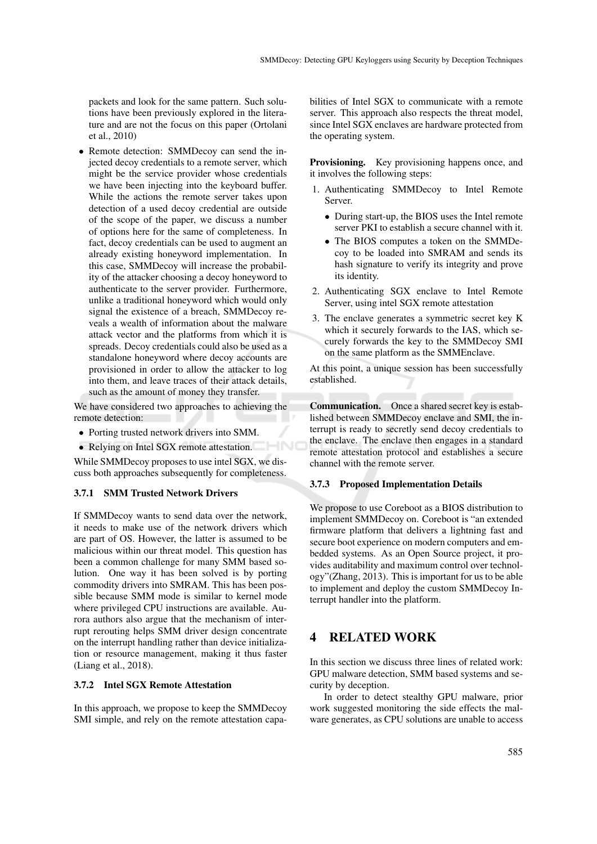packets and look for the same pattern. Such solutions have been previously explored in the literature and are not the focus on this paper (Ortolani et al., 2010)

• Remote detection: SMMDecoy can send the injected decoy credentials to a remote server, which might be the service provider whose credentials we have been injecting into the keyboard buffer. While the actions the remote server takes upon detection of a used decoy credential are outside of the scope of the paper, we discuss a number of options here for the same of completeness. In fact, decoy credentials can be used to augment an already existing honeyword implementation. In this case, SMMDecoy will increase the probability of the attacker choosing a decoy honeyword to authenticate to the server provider. Furthermore, unlike a traditional honeyword which would only signal the existence of a breach, SMMDecoy reveals a wealth of information about the malware attack vector and the platforms from which it is spreads. Decoy credentials could also be used as a standalone honeyword where decoy accounts are provisioned in order to allow the attacker to log into them, and leave traces of their attack details, such as the amount of money they transfer.

We have considered two approaches to achieving the remote detection:

- Porting trusted network drivers into SMM.
- Relying on Intel SGX remote attestation.

While SMMDecoy proposes to use intel SGX, we discuss both approaches subsequently for completeness.

#### 3.7.1 SMM Trusted Network Drivers

If SMMDecoy wants to send data over the network, it needs to make use of the network drivers which are part of OS. However, the latter is assumed to be malicious within our threat model. This question has been a common challenge for many SMM based solution. One way it has been solved is by porting commodity drivers into SMRAM. This has been possible because SMM mode is similar to kernel mode where privileged CPU instructions are available. Aurora authors also argue that the mechanism of interrupt rerouting helps SMM driver design concentrate on the interrupt handling rather than device initialization or resource management, making it thus faster (Liang et al., 2018).

#### 3.7.2 Intel SGX Remote Attestation

In this approach, we propose to keep the SMMDecoy SMI simple, and rely on the remote attestation capabilities of Intel SGX to communicate with a remote server. This approach also respects the threat model, since Intel SGX enclaves are hardware protected from the operating system.

Provisioning. Key provisioning happens once, and it involves the following steps:

- 1. Authenticating SMMDecoy to Intel Remote Server.
	- During start-up, the BIOS uses the Intel remote server PKI to establish a secure channel with it.
	- The BIOS computes a token on the SMMDecoy to be loaded into SMRAM and sends its hash signature to verify its integrity and prove its identity.
- 2. Authenticating SGX enclave to Intel Remote Server, using intel SGX remote attestation
- 3. The enclave generates a symmetric secret key K which it securely forwards to the IAS, which securely forwards the key to the SMMDecoy SMI on the same platform as the SMMEnclave.

At this point, a unique session has been successfully established.

Communication. Once a shared secret key is established between SMMDecoy enclave and SMI, the interrupt is ready to secretly send decoy credentials to the enclave. The enclave then engages in a standard remote attestation protocol and establishes a secure channel with the remote server.

#### 3.7.3 Proposed Implementation Details

We propose to use Coreboot as a BIOS distribution to implement SMMDecoy on. Coreboot is "an extended firmware platform that delivers a lightning fast and secure boot experience on modern computers and embedded systems. As an Open Source project, it provides auditability and maximum control over technology"(Zhang, 2013). This is important for us to be able to implement and deploy the custom SMMDecoy Interrupt handler into the platform.

## 4 RELATED WORK

In this section we discuss three lines of related work: GPU malware detection, SMM based systems and security by deception.

In order to detect stealthy GPU malware, prior work suggested monitoring the side effects the malware generates, as CPU solutions are unable to access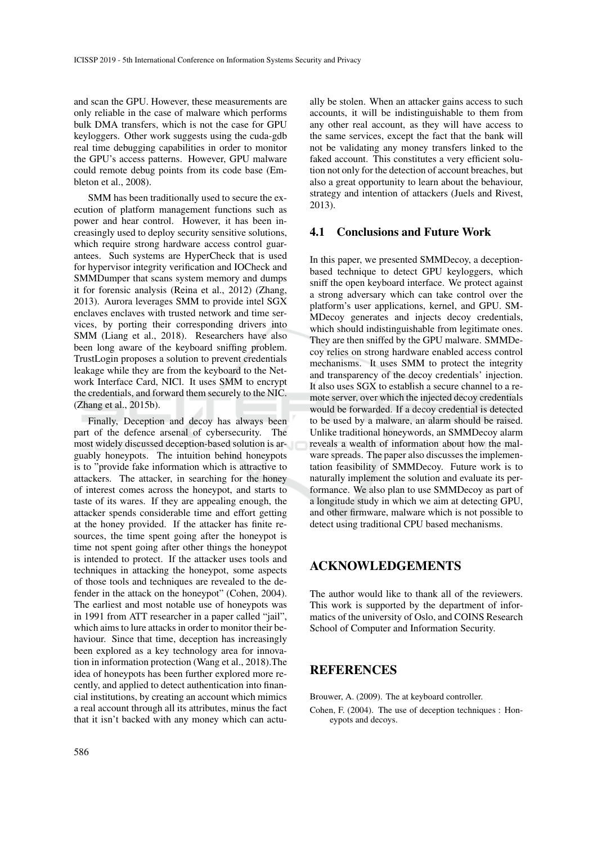and scan the GPU. However, these measurements are only reliable in the case of malware which performs bulk DMA transfers, which is not the case for GPU keyloggers. Other work suggests using the cuda-gdb real time debugging capabilities in order to monitor the GPU's access patterns. However, GPU malware could remote debug points from its code base (Embleton et al., 2008).

SMM has been traditionally used to secure the execution of platform management functions such as power and hear control. However, it has been increasingly used to deploy security sensitive solutions, which require strong hardware access control guarantees. Such systems are HyperCheck that is used for hypervisor integrity verification and IOCheck and SMMDumper that scans system memory and dumps it for forensic analysis (Reina et al., 2012) (Zhang, 2013). Aurora leverages SMM to provide intel SGX enclaves enclaves with trusted network and time services, by porting their corresponding drivers into SMM (Liang et al., 2018). Researchers have also been long aware of the keyboard sniffing problem. TrustLogin proposes a solution to prevent credentials leakage while they are from the keyboard to the Network Interface Card, NICl. It uses SMM to encrypt the credentials, and forward them securely to the NIC. (Zhang et al., 2015b).

Finally, Deception and decoy has always been part of the defence arsenal of cybersecurity. The most widely discussed deception-based solution is arguably honeypots. The intuition behind honeypots is to "provide fake information which is attractive to attackers. The attacker, in searching for the honey of interest comes across the honeypot, and starts to taste of its wares. If they are appealing enough, the attacker spends considerable time and effort getting at the honey provided. If the attacker has finite resources, the time spent going after the honeypot is time not spent going after other things the honeypot is intended to protect. If the attacker uses tools and techniques in attacking the honeypot, some aspects of those tools and techniques are revealed to the defender in the attack on the honeypot" (Cohen, 2004). The earliest and most notable use of honeypots was in 1991 from ATT researcher in a paper called "jail", which aims to lure attacks in order to monitor their behaviour. Since that time, deception has increasingly been explored as a key technology area for innovation in information protection (Wang et al., 2018).The idea of honeypots has been further explored more recently, and applied to detect authentication into financial institutions, by creating an account which mimics a real account through all its attributes, minus the fact that it isn't backed with any money which can actu-

ally be stolen. When an attacker gains access to such accounts, it will be indistinguishable to them from any other real account, as they will have access to the same services, except the fact that the bank will not be validating any money transfers linked to the faked account. This constitutes a very efficient solution not only for the detection of account breaches, but also a great opportunity to learn about the behaviour, strategy and intention of attackers (Juels and Rivest, 2013).

### 4.1 Conclusions and Future Work

In this paper, we presented SMMDecoy, a deceptionbased technique to detect GPU keyloggers, which sniff the open keyboard interface. We protect against a strong adversary which can take control over the platform's user applications, kernel, and GPU. SM-MDecoy generates and injects decoy credentials, which should indistinguishable from legitimate ones. They are then sniffed by the GPU malware. SMMDecoy relies on strong hardware enabled access control mechanisms. It uses SMM to protect the integrity and transparency of the decoy credentials' injection. It also uses SGX to establish a secure channel to a remote server, over which the injected decoy credentials would be forwarded. If a decoy credential is detected to be used by a malware, an alarm should be raised. Unlike traditional honeywords, an SMMDecoy alarm reveals a wealth of information about how the malware spreads. The paper also discusses the implementation feasibility of SMMDecoy. Future work is to naturally implement the solution and evaluate its performance. We also plan to use SMMDecoy as part of a longitude study in which we aim at detecting GPU, and other firmware, malware which is not possible to detect using traditional CPU based mechanisms.

## ACKNOWLEDGEMENTS

The author would like to thank all of the reviewers. This work is supported by the department of informatics of the university of Oslo, and COINS Research School of Computer and Information Security.

### REFERENCES

Brouwer, A. (2009). The at keyboard controller.

Cohen, F. (2004). The use of deception techniques : Honeypots and decoys.